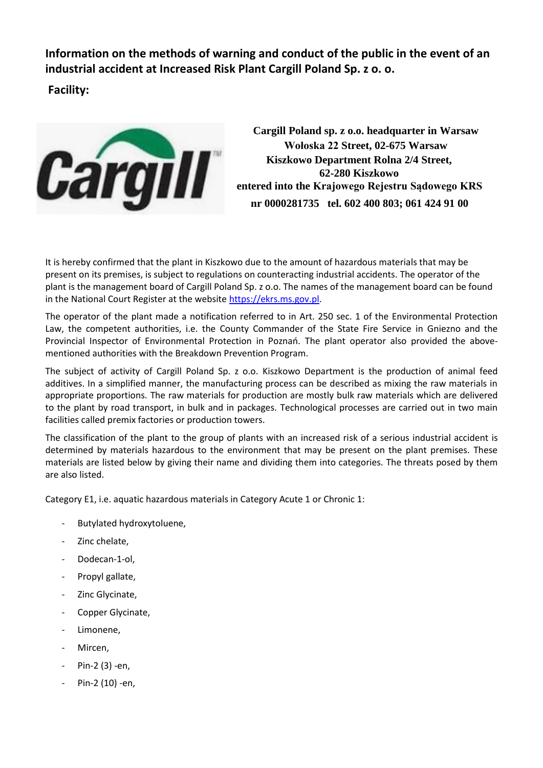**Information on the methods of warning and conduct of the public in the event of an industrial accident at Increased Risk Plant Cargill Poland Sp. z o. o.**

**Facility:**



**Cargill Poland sp. z o.o. headquarter in Warsaw Wołoska 22 Street, 02-675 Warsaw Kiszkowo Department Rolna 2/4 Street, 62-280 Kiszkowo entered into the Krajowego Rejestru Sądowego KRS nr 0000281735 tel. 602 400 803; 061 424 91 00**

It is hereby confirmed that the plant in Kiszkowo due to the amount of hazardous materials that may be present on its premises, is subject to regulations on counteracting industrial accidents. The operator of the plant is the management board of Cargill Poland Sp. z o.o. The names of the management board can be found in the National Court Register at the website [https://ekrs.ms.gov.pl.](https://ekrs.ms.gov.pl/)

The operator of the plant made a notification referred to in Art. 250 sec. 1 of the Environmental Protection Law, the competent authorities, i.e. the County Commander of the State Fire Service in Gniezno and the Provincial Inspector of Environmental Protection in Poznań. The plant operator also provided the abovementioned authorities with the Breakdown Prevention Program.

The subject of activity of Cargill Poland Sp. z o.o. Kiszkowo Department is the production of animal feed additives. In a simplified manner, the manufacturing process can be described as mixing the raw materials in appropriate proportions. The raw materials for production are mostly bulk raw materials which are delivered to the plant by road transport, in bulk and in packages. Technological processes are carried out in two main facilities called premix factories or production towers.

The classification of the plant to the group of plants with an increased risk of a serious industrial accident is determined by materials hazardous to the environment that may be present on the plant premises. These materials are listed below by giving their name and dividing them into categories. The threats posed by them are also listed.

Category E1, i.e. aquatic hazardous materials in Category Acute 1 or Chronic 1:

- Butylated hydroxytoluene,
- Zinc chelate,
- Dodecan-1-ol,
- Propyl gallate,
- Zinc Glycinate,
- Copper Glycinate,
- Limonene.
- Mircen.
- Pin-2 (3) -en,
- Pin-2 (10) -en,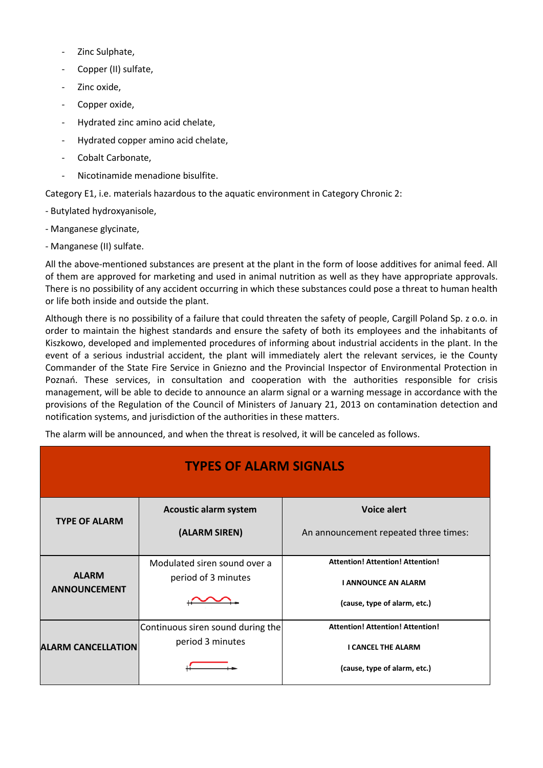- Zinc Sulphate,
- Copper (II) sulfate,
- Zinc oxide.
- Copper oxide,
- Hydrated zinc amino acid chelate,
- Hydrated copper amino acid chelate,
- Cobalt Carbonate,
- Nicotinamide menadione bisulfite.

Category E1, i.e. materials hazardous to the aquatic environment in Category Chronic 2:

- Butylated hydroxyanisole,
- Manganese glycinate,
- Manganese (II) sulfate.

All the above-mentioned substances are present at the plant in the form of loose additives for animal feed. All of them are approved for marketing and used in animal nutrition as well as they have appropriate approvals. There is no possibility of any accident occurring in which these substances could pose a threat to human health or life both inside and outside the plant.

Although there is no possibility of a failure that could threaten the safety of people, Cargill Poland Sp. z o.o. in order to maintain the highest standards and ensure the safety of both its employees and the inhabitants of Kiszkowo, developed and implemented procedures of informing about industrial accidents in the plant. In the event of a serious industrial accident, the plant will immediately alert the relevant services, ie the County Commander of the State Fire Service in Gniezno and the Provincial Inspector of Environmental Protection in Poznań. These services, in consultation and cooperation with the authorities responsible for crisis management, will be able to decide to announce an alarm signal or a warning message in accordance with the provisions of the Regulation of the Council of Ministers of January 21, 2013 on contamination detection and notification systems, and jurisdiction of the authorities in these matters.

| The alarm will be announced, and when the threat is resolved, it will be canceled as follows. |                                                       |                                                                                                       |
|-----------------------------------------------------------------------------------------------|-------------------------------------------------------|-------------------------------------------------------------------------------------------------------|
| <b>TYPES OF ALARM SIGNALS</b>                                                                 |                                                       |                                                                                                       |
| <b>TYPE OF ALARM</b>                                                                          | <b>Acoustic alarm system</b><br>(ALARM SIREN)         | <b>Voice alert</b><br>An announcement repeated three times:                                           |
| <b>ALARM</b><br><b>ANNOUNCEMENT</b>                                                           | Modulated siren sound over a<br>period of 3 minutes   | <b>Attention! Attention! Attention!</b><br><b>I ANNOUNCE AN ALARM</b><br>(cause, type of alarm, etc.) |
| <b>ALARM CANCELLATION</b>                                                                     | Continuous siren sound during the<br>period 3 minutes | <b>Attention! Attention! Attention!</b><br><b>I CANCEL THE ALARM</b><br>(cause, type of alarm, etc.)  |
|                                                                                               |                                                       |                                                                                                       |

The alarm will be announced, and when the threat is resolved, it will be canceled as follows.